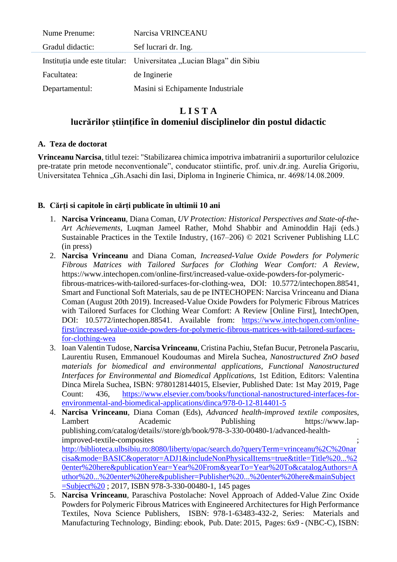| Nume Prenume:    | Narcisa VRINCEANU                                                    |
|------------------|----------------------------------------------------------------------|
| Gradul didactic: | Sef lucrari dr. Ing.                                                 |
|                  | Instituția unde este titular: Universitatea "Lucian Blaga" din Sibiu |
| Facultatea:      | de Inginerie                                                         |
| Departamentul:   | Masini si Echipamente Industriale                                    |

# **L I S T A lucrărilor științifice în domeniul disciplinelor din postul didactic**

#### **A. Teza de doctorat**

**Vrinceanu Narcisa**, titlul tezei: "Stabilizarea chimica impotriva imbatranirii a suporturilor celulozice pre-tratate prin metode neconventionale", conducator stiintific, prof. univ.dr.ing. Aurelia Grigoriu, Universitatea Tehnica "Gh.Asachi din Iasi, Diploma in Inginerie Chimica, nr. 4698/14.08.2009.

### **B. Cărți si capitole în cărți publicate în ultimii 10 ani**

- 1. **Narcisa Vrinceanu**, Diana Coman, *UV Protection: Historical Perspectives and State-of-the-Art Achievements*, Luqman Jameel Rather, Mohd Shabbir and Aminoddin Haji (eds.) Sustainable Practices in the Textile Industry, (167–206) © 2021 Scrivener Publishing LLC (in press)
- 2. **Narcisa Vrinceanu** and Diana Coman, *Increased-Value Oxide Powders for Polymeric Fibrous Matrices with Tailored Surfaces for Clothing Wear Comfort: A Review*, https://www.intechopen.com/online-first/increased-value-oxide-powders-for-polymericfibrous-matrices-with-tailored-surfaces-for-clothing-wea, DOI: 10.5772/intechopen.88541, Smart and Functional Soft Materials, sau de pe INTECHOPEN: Narcisa Vrinceanu and Diana Coman (August 20th 2019). Increased-Value Oxide Powders for Polymeric Fibrous Matrices with Tailored Surfaces for Clothing Wear Comfort: A Review [Online First], IntechOpen, DOI: 10.5772/intechopen.88541. Available from: [https://www.intechopen.com/online](https://www.intechopen.com/online-first/increased-value-oxide-powders-for-polymeric-fibrous-matrices-with-tailored-surfaces-for-clothing-wea)[first/increased-value-oxide-powders-for-polymeric-fibrous-matrices-with-tailored-surfaces](https://www.intechopen.com/online-first/increased-value-oxide-powders-for-polymeric-fibrous-matrices-with-tailored-surfaces-for-clothing-wea)[for-clothing-wea](https://www.intechopen.com/online-first/increased-value-oxide-powders-for-polymeric-fibrous-matrices-with-tailored-surfaces-for-clothing-wea)
- 3. Ioan Valentin Tudose, **Narcisa Vrinceanu**, Cristina Pachiu, Stefan Bucur, Petronela Pascariu, Laurentiu Rusen, Emmanouel Koudoumas and Mirela Suchea, *Nanostructured ZnO based materials for biomedical and environmental applications, Functional Nanostructured Interfaces for Environmental and Biomedical Applications*, 1st Edition, Editors: Valentina Dinca Mirela Suchea, ISBN: 9780128144015, Elsevier, Published Date: 1st May 2019, Page Count: 436, [https://www.elsevier.com/books/functional-nanostructured-interfaces-for](https://www.elsevier.com/books/functional-nanostructured-interfaces-for-environmental-and-biomedical-applications/dinca/978-0-12-814401-5)[environmental-and-biomedical-applications/dinca/978-0-12-814401-5](https://www.elsevier.com/books/functional-nanostructured-interfaces-for-environmental-and-biomedical-applications/dinca/978-0-12-814401-5)
- 4. **Narcisa Vrinceanu**, Diana Coman (Eds), *Advanced health-improved textile composite*s, Lambert Academic Publishing https://www.lappublishing.com/catalog/details//store/gb/book/978-3-330-00480-1/advanced-healthimproved-textile-composites ; [http://biblioteca.ulbsibiu.ro:8080/liberty/opac/search.do?queryTerm=vrinceanu%2C%20nar](http://biblioteca.ulbsibiu.ro:8080/liberty/opac/search.do?queryTerm=vrinceanu%2C%20narcisa&mode=BASIC&operator=ADJ1&includeNonPhysicalItems=true&title=Title%20...%20enter%20here&publicationYear=Year%20From&yearTo=Year%20To&catalogAuthors=Author%20...%20enter%20here&publisher=Publisher%20...%20enter%20here&mainSubject=Subject%20) [cisa&mode=BASIC&operator=ADJ1&includeNonPhysicalItems=true&title=Title%20...%2](http://biblioteca.ulbsibiu.ro:8080/liberty/opac/search.do?queryTerm=vrinceanu%2C%20narcisa&mode=BASIC&operator=ADJ1&includeNonPhysicalItems=true&title=Title%20...%20enter%20here&publicationYear=Year%20From&yearTo=Year%20To&catalogAuthors=Author%20...%20enter%20here&publisher=Publisher%20...%20enter%20here&mainSubject=Subject%20) [0enter%20here&publicationYear=Year%20From&yearTo=Year%20To&catalogAuthors=A](http://biblioteca.ulbsibiu.ro:8080/liberty/opac/search.do?queryTerm=vrinceanu%2C%20narcisa&mode=BASIC&operator=ADJ1&includeNonPhysicalItems=true&title=Title%20...%20enter%20here&publicationYear=Year%20From&yearTo=Year%20To&catalogAuthors=Author%20...%20enter%20here&publisher=Publisher%20...%20enter%20here&mainSubject=Subject%20) [uthor%20...%20enter%20here&publisher=Publisher%20...%20enter%20here&mainSubject](http://biblioteca.ulbsibiu.ro:8080/liberty/opac/search.do?queryTerm=vrinceanu%2C%20narcisa&mode=BASIC&operator=ADJ1&includeNonPhysicalItems=true&title=Title%20...%20enter%20here&publicationYear=Year%20From&yearTo=Year%20To&catalogAuthors=Author%20...%20enter%20here&publisher=Publisher%20...%20enter%20here&mainSubject=Subject%20) [=Subject%20](http://biblioteca.ulbsibiu.ro:8080/liberty/opac/search.do?queryTerm=vrinceanu%2C%20narcisa&mode=BASIC&operator=ADJ1&includeNonPhysicalItems=true&title=Title%20...%20enter%20here&publicationYear=Year%20From&yearTo=Year%20To&catalogAuthors=Author%20...%20enter%20here&publisher=Publisher%20...%20enter%20here&mainSubject=Subject%20) ; 2017, ISBN 978-3-330-00480-1, 145 pages
- 5. **Narcisa Vrinceanu**, Paraschiva Postolache: Novel Approach of Added-Value Zinc Oxide Powders for Polymeric Fibrous Matrices with Engineered Architectures for High Performance Textiles, Nova Science Publishers, ISBN: 978-1-63483-432-2, Series: Materials and Manufacturing Technology, Binding: ebook, Pub. Date: 2015, Pages: 6x9 - (NBC-C), ISBN: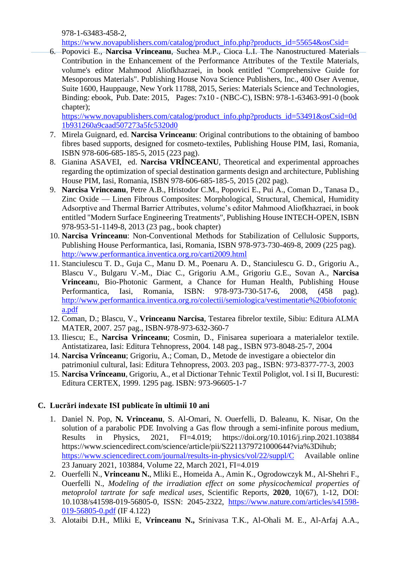978-1-63483-458-2,

[https://www.novapublishers.com/catalog/product\\_info.php?products\\_id=55654&osCsid=](https://www.novapublishers.com/catalog/product_info.php?products_id=55654&osCsid=)

6. Popovici E., **Narcisa Vrinceanu**, Suchea M.P., Cioca L.I. The Nanostructured Materials Contribution in the Enhancement of the Performance Attributes of the Textile Materials, volume's editor Mahmood Aliofkhazraei, in book entitled "Comprehensive Guide for Mesoporous Materials". Publishing House Nova Science Publishers, Inc., 400 Oser Avenue, Suite 1600, Hauppauge, New York 11788, 2015, Series: Materials Science and Technologies, Binding: ebook, Pub. Date: 2015, Pages: 7x10 - (NBC-C), ISBN: 978-1-63463-991-0 (book chapter);

[https://www.novapublishers.com/catalog/product\\_info.php?products\\_id=53491&osCsid=0d](https://www.novapublishers.com/catalog/product_info.php?products_id=53491&osCsid=0d1b931260a9caad507273a5fc5320d0) [1b931260a9caad507273a5fc5320d0](https://www.novapublishers.com/catalog/product_info.php?products_id=53491&osCsid=0d1b931260a9caad507273a5fc5320d0)

- 7. Mirela Guignard, ed. **Narcisa Vrinceanu**: Original contributions to the obtaining of bamboo fibres based supports, designed for cosmeto-textiles, Publishing House PIM, Iasi, Romania, ISBN 978-606-685-185-5, 2015 (223 pag).
- 8. Gianina ASAVEI, ed. **Narcisa VRÎNCEANU**, Theoretical and experimental approaches regarding the optimization of special destination garments design and architecture, Publishing House PIM, Iasi, Romania, ISBN 978-606-685-185-5, 2015 (202 pag).
- 9. **Narcisa Vrinceanu**, Petre A.B., Hristodor C.M., Popovici E., Pui A., Coman D., Tanasa D., Zinc Oxide — Linen Fibrous Composites: Morphological, Structural, Chemical, Humidity Adsorptive and Thermal Barrier Attributes, volume's editor Mahmood Aliofkhazraei, in book entitled "Modern Surface Engineering Treatments", Publishing House INTECH-OPEN, ISBN 978-953-51-1149-8, 2013 (23 pag., book chapter)
- 10. **Narcisa Vrinceanu**: Non-Conventional Methods for Stabilization of Cellulosic Supports, Publishing House Performantica, Iasi, Romania, ISBN 978-973-730-469-8, 2009 (225 pag). <http://www.performantica.inventica.org.ro/carti2009.html>
- 11. Stanciulescu T. D., Guja C., Manu D. M., Poenaru A. D., Stanciulescu G. D., Grigoriu A., Blascu V., Bulgaru V.-M., Diac C., Grigoriu A.M., Grigoriu G.E., Sovan A., **Narcisa Vrincean**u, Bio-Photonic Garment, a Chance for Human Health, Publishing House Performantica, Iasi, Romania, ISBN: 978-973-730-517-6, 2008, (458 pag). [http://www.performantica.inventica.org.ro/colectii/semiologica/vestimentatie%20biofotonic](http://www.performantica.inventica.org.ro/colectii/semiologica/vestimentatie%20biofotonica.pdf) [a.pdf](http://www.performantica.inventica.org.ro/colectii/semiologica/vestimentatie%20biofotonica.pdf)
- 12. Coman, D.; Blascu, V., **Vrinceanu Narcisa**, Testarea fibrelor textile, Sibiu: Editura ALMA MATER, 2007. 257 pag., ISBN-978-973-632-360-7
- 13. Iliescu; E., **Narcisa Vrinceanu**; Cosmin, D., Finisarea superioara a materialelor textile. Antistatizarea, Iasi: Editura Tehnopress, 2004. 148 pag., ISBN 973-8048-25-7, 2004
- 14. **Narcisa Vrînceanu**; Grigoriu, A.; Coman, D., Metode de investigare a obiectelor din patrimoniul cultural, Iasi: Editura Tehnopress, 2003. 203 pag., ISBN: 973-8377-77-3, 2003
- 15. **Narcisa Vrînceanu**, Grigoriu, A., et al Dictionar Tehnic Textil Poliglot, vol. I si II, Bucuresti: Editura CERTEX, 1999. 1295 pag. ISBN: 973-96605-1-7

## **C. Lucrări indexate ISI publicate în ultimii 10 ani**

- 1. Daniel N. Pop, **N. Vrinceanu**, S. Al-Omari, N. Ouerfelli, D. Baleanu, K. Nisar, On the solution of a parabolic PDE Involving a Gas flow through a semi-infinite porous medium, Results in Physics, 2021, FI=4.019; https://doi.org/10.1016/j.rinp.2021.103884 https://www.sciencedirect.com/science/article/pii/S2211379721000644?via%3Dihub; <https://www.sciencedirect.com/journal/results-in-physics/vol/22/suppl/C> Available online 23 January 2021, 103884, Volume 22, March 2021, FI=4.019
- 2. Ouerfelli N., **Vrinceanu N.**, Mliki E., Homeida A., Amin K., Ogrodowczyk M., Al-Shehri F., Ouerfelli N., *Modeling of the irradiation effect on some physicochemical properties of metoprolol tartrate for safe medical uses*, Scientific Reports, **2020**, 10(67), 1-12, DOI: 10.1038/s41598-019-56805-0, ISSN: 2045-2322, [https://www.nature.com/articles/s41598-](https://www.nature.com/articles/s41598-019-56805-0.pdf) [019-56805-0.pdf](https://www.nature.com/articles/s41598-019-56805-0.pdf) (IF 4.122)
- 3. Alotaibi D.H., Mliki E, **Vrinceanu N.,** Srinivasa T.K., Al-Ohali M. E., Al-Arfaj A.A.,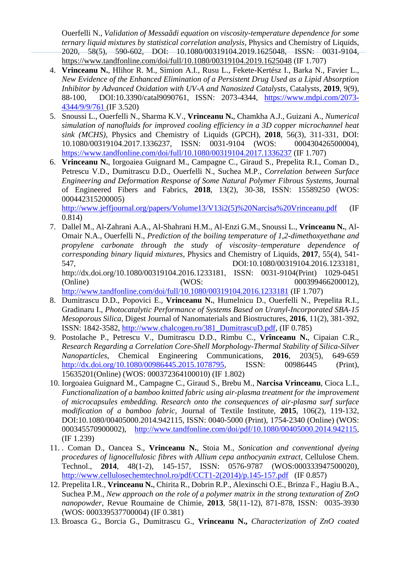Ouerfelli N., *Validation of Messaâdi equation on viscosity-temperature dependence for some ternary liquid mixtures by statistical correlation analysis*, Physics and Chemistry of Liquids, 2020, 58(5), 590-602, DOI: 10.1080/00319104.2019.1625048, ISSN: 0031-9104, <https://www.tandfonline.com/doi/full/10.1080/00319104.2019.1625048> (IF 1.707)

- 4. **Vrinceanu N.**, Hlihor R. M., Simion A.I., Rusu L., Fekete-Kertész I., Barka N., Favier L., *New Evidence of the Enhanced Elimination of a Persistent Drug Used as a Lipid Absorption Inhibitor by Advanced Oxidation with UV-A and Nanosized Catalysts*, Catalysts, **2019**, 9(9), 88-100, DOI:10.3390/catal9090761, ISSN: 2073-4344, [https://www.mdpi.com/2073-](https://www.mdpi.com/2073-4344/9/9/761) [4344/9/9/761](https://www.mdpi.com/2073-4344/9/9/761) (IF 3.520)
- 5. Snoussi L., Ouerfelli N., Sharma K.V., **Vrinceanu N.**, Chamkha A.J., Guizani A., *Numerical simulation of nanofluids for improved cooling efficiency in a 3D copper microchannel heat sink (MCHS),* Physics and Chemistry of Liquids (GPCH), **2018**, 56(3), 311-331, DOI: 10.1080/00319104.2017.1336237, ISSN: 0031-9104 (WOS: 000430426500004), <https://www.tandfonline.com/doi/full/10.1080/00319104.2017.1336237> (IF 1.707)
- 6. **Vrinceanu N.**, Iorgoaiea Guignard M., Campagne C., Giraud S., Prepelita R.I., Coman D., Petrescu V.D., Dumitrascu D.D., Ouerfelli N., Suchea M.P., *Correlation between Surface Engineering and Deformation Response of Some Natural Polymer Fibrous Systems,* Journal of Engineered Fibers and Fabrics, **2018**, 13(2), 30-38, ISSN: 15589250 (WOS: 000442315200005) [http://www.jeffjournal.org/papers/Volume13/V13i2\(5\)%20Narcisa%20Vrinceanu.pdf](http://www.jeffjournal.org/papers/Volume13/V13i2(5)%20Narcisa%20Vrinceanu.pdf) (IF

0.814)

- 7. Dallel M., Al-Zahrani A.A., Al-Shahrani H.M., Al-Enzi G.M., Snoussi L., **Vrinceanu N.**, Al-Omair N.A., Ouerfelli N., *Prediction of the boiling temperature of 1,2-dimethoxyethane and propylene carbonate through the study of viscosity–temperature dependence of corresponding binary liquid mixtures,* Physics and Chemistry of Liquids, **2017**, 55(4), 541- 547, DOI:10.1080/00319104.2016.1233181, http://dx.doi.org/10.1080/00319104.2016.1233181, ISSN: 0031-9104(Print) 1029-0451 (Online) (WOS: 000399466200012), <http://www.tandfonline.com/doi/full/10.1080/00319104.2016.1233181> (IF 1.707)
- 8. Dumitrascu D.D., Popovici E., **Vrinceanu N.**, Humelnicu D., Ouerfelli N., Prepelita R.I., Gradinaru I., *Photocatalytic Performance of Systems Based on Uranyl-Incorporated SBA-15 Mesoporous Silica,* Digest Journal of Nanomaterials and Biostructures, **2016**, 11(2), 381-392, ISSN: 1842-3582, [http://www.chalcogen.ro/381\\_DumitrascuD.pdf,](http://www.chalcogen.ro/381_DumitrascuD.pdf) (IF 0.785)
- 9. Postolache P., Petrescu V., Dumitrascu D.D., Rimbu C., **Vrînceanu N.**, Cipaian C.R., *Research Regarding a Correlation Core-Shell Morphology-Thermal Stability of Silica-Silver Nanoparticles*, Chemical Engineering Communications, **2016**, 203(5), 649-659 [http://dx.doi.org/10.1080/00986445.2015.1078795,](http://dx.doi.org/10.1080/00986445.2015.1078795) ISSN: 00986445 (Print), 15635201(Online) (WOS: 000372364100010) (IF 1.802)
- 10. Iorgoaiea Guignard M., Campagne C., Giraud S., Brebu M., **Narcisa Vrinceanu**, Cioca L.I., *Functionalization of a bamboo knitted fabric using air-plasma treatment for the improvement of microcapsules embedding. Research onto the consequences of air-plasma surf surface modification of a bamboo fabric*, Journal of Textile Institute, **2015**, 106(2), 119-132, DOI:10.1080/00405000.2014.942115, ISSN: 0040-5000 (Print), 1754-2340 (Online) (WOS: 000345570900002), [http://www.tandfonline.com/doi/pdf/10.1080/00405000.2014.942115,](http://www.tandfonline.com/doi/pdf/10.1080/00405000.2014.942115) (IF 1.239)
- 11. . Coman D., Oancea S., **Vrinceanu N.**, Stoia M., *Sonication and conventional dyeing procedures of lignocellulosic fibres with Allium cepa anthocyanin extract,* Cellulose Chem. Technol., **2014**, 48(1-2), 145-157, ISSN: 0576-9787 (WOS:000333947500020), [http://www.cellulosechemtechnol.ro/pdf/CCT1-2\(2014\)/p.145-157.pdf](http://www.cellulosechemtechnol.ro/pdf/CCT1-2(2014)/p.145-157.pdf) (IF 0.857)
- 12. Prepelita I.R., **Vrinceanu N.**, Chirita R., Dobrin R.P., Alexinschi O.E., Brinza F., Hagiu B.A., Suchea P.M., *New approach on the role of a polymer matrix in the strong texturation of ZnO nanopowder*, Revue Roumaine de Chimie, **2013**, 58(11-12), 871-878, ISSN: 0035-3930 (WOS: 000339537700004) (IF 0.381)
- 13. Broasca G., Borcia G., Dumitrascu G., **Vrinceanu N.,** *Characterization of ZnO coated*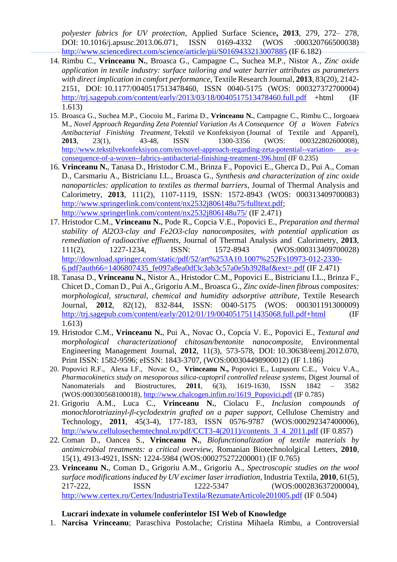*polyester fabrics for UV protection*, Applied Surface Science**, 2013**, 279, 272– 278, DOI: 10.1016/j.apsusc.2013.06.071, ISSN 0169-4332 (WOS :000320766500038) <http://www.sciencedirect.com/science/article/pii/S0169433213007885> (IF 6.182)

- 14. Rimbu C., **Vrinceanu N.**, Broasca G., Campagne C., Suchea M.P., Nistor A., *Zinc oxide application in textile industry: surface tailoring and water barrier attributes as parameters with direct implication in comfort performance*, Textile Research Journal, **2013**, 83(20), 2142- 2151, DOI: 10.1177/0040517513478460, ISSN 0040-5175 (WOS: 000327372700004) <http://trj.sagepub.com/content/early/2013/03/18/0040517513478460.full.pdf> +html (IF 1.613)
- 15. Broasca G., Suchea M.P., Ciocoiu M., Farima D., **Vrinceanu N.**, Campagne C., Rimbu C., Iorgoaea M., *Novel Approach Regarding Zeta Potential Variation As A Consequence Of a Woven Fabrics Antibacterial Finishing Treatment*, Tekstil ve Konfeksiyon (Journal of Textile and Apparel), **2013**, 23(1), 43-48, ISSN 1300-3356 (WOS: 000322802600008), [http://www.tekstilvekonfeksiyon.com/en/novel-approach-regarding-zeta-potential--variation-](http://www.tekstilvekonfeksiyon.com/en/novel-approach-regarding-zeta-potential--variation-%20as-a-%20consequence-of-a-woven--fabrics-antibacterial-finishing-treatment-396.html) as-a[consequence-of-a-woven--fabrics-antibacterial-finishing-treatment-396.html](http://www.tekstilvekonfeksiyon.com/en/novel-approach-regarding-zeta-potential--variation-%20as-a-%20consequence-of-a-woven--fabrics-antibacterial-finishing-treatment-396.html) (IF 0.235)
- 16. **Vrinceanu N.**, Tanasa D., Hristodor C.M., Brinza F., Popovici E., Gherca D., Pui A., Coman D., Carsmariu A., Bistricianu I.L., Broasca G., *Synthesis and characterization of zinc oxide nanoparticles: application to textiles as thermal barriers*, Journal of Thermal Analysis and Calorimetry, **2013**, 111(2), 1107-1119, ISSN: 1572-8943 (WOS: 000313409700083) [http://www.springerlink.com/content/nx2532j806148u75/fulltext.pdf;](http://www.springerlink.com/content/nx2532j806148u75/fulltext.pdf) <http://www.springerlink.com/content/nx2532j806148u75/> (IF 2.471)
- 17. Hristodor C.M., **Vrinceanu N.**, Pode R., Copcia V.E., Popovici E., *Preparation and thermal stability of Al2O3-clay and Fe2O3-clay nanocomposites, with potential application as remediation of radioactive effluents,* Journal of Thermal Analysis and Calorimetry, **2013**, 111(2), 1227-1234, ISSN: 1572-8943 (WOS:000313409700028) [http://download.springer.com/static/pdf/52/art%253A10.1007%252Fs10973-012-2330-](http://download.springer.com/static/pdf/52/art%253A10.1007%252Fs10973-012-2330-6.pdf?auth66=1406807435_fe097a8ea0df3c3ab3c57a0e5b3928af&ext=.pdf) [6.pdf?auth66=1406807435\\_fe097a8ea0df3c3ab3c57a0e5b3928af&ext=.pdf](http://download.springer.com/static/pdf/52/art%253A10.1007%252Fs10973-012-2330-6.pdf?auth66=1406807435_fe097a8ea0df3c3ab3c57a0e5b3928af&ext=.pdf) (IF 2.471)
- 18. Tanasa D., **Vrinceanu N.**, Nistor A., Hristodor C.M., Popovici E., Bistricianu I.L., Brinza F., Chicet D., Coman D., Pui A., Grigoriu A.M., Broasca G., *Zinc oxide-linen fibrous composites: morphological, structural, chemical and humidity adsorptive attribute*, Textile Research Journal, **2012**, 82(12), 832-844, ISSN: 0040-5175 (WOS: 000301191300009) <http://trj.sagepub.com/content/early/2012/01/19/0040517511435068.full.pdf+html> (IF 1.613)
- 19. Hristodor C.M., **Vrinceanu N.**, Pui A., Novac O., Copcia V. E., Popovici E., *Textural and morphological characterizationof chitosan/bentonite nanocomposite*, Environmental Engineering Management Journal, **2012**, 11(3), 573-578, DOI: 10.30638/eemj.2012.070, Print ISSN: 1582-9596; eISSN: 1843-3707, (WOS:000304498900012) (IF 1.186)
- 20. Popovici R.F., Alexa I.F., Novac O., **Vrinceanu N.,** Popovici E., Lupusoru C.E., Voicu V.A., *Pharmacokinetics study on mesoporous silica-captopril controlled release systems*, Digest Journal of Nanomaterials and Biostructures, **2011**, 6(3), 1619-1630, ISSN 1842 – 3582 (WOS:000300568100018), [http://www.chalcogen.infim.ro/1619\\_Popovici.pdf](http://www.chalcogen.infim.ro/1619_Popovici.pdf) (IF 0.785)
- 21. Grigoriu A.M., Luca C., **Vrinceanu N.**, Ciolacu F., *Inclusion compounds of monochlorotriazinyl-β-cyclodextrin grafted on a paper support,* Cellulose Chemistry and Technology, **2011**, 45(3-4), 177-183, ISSN 0576-9787 (WOS:000292347400006), http://www.cellulosechemtechnol.ro/pdf/CCT3-4(2011)/contents 3 4 2011.pdf (IF 0.857)
- 22. Coman D., Oancea S., **Vrinceanu N.**, *Biofunctionalization of textile materials by antimicrobial treatments: a critical overview,* Romanian Biotechnololgical Letters, **2010**, 15(1), 4913-4921, ISSN: 1224-5984 (WOS:000275272200001) (IF 0.765)
- 23. **Vrinceanu N.**, Coman D., Grigoriu A.M., Grigoriu A., *Spectroscopic studies on the wool surface modifications induced by UV excimer laser irradiation*, Industria Textila, **2010**, 61(5), 217-222, ISSN 1222-5347 (WOS:000283637200004), <http://www.certex.ro/Certex/IndustriaTextila/RezumateArticole201005.pdf> (IF 0.504)

#### **Lucrari indexate in volumele conferintelor ISI Web of Knowledge**

1. **Narcisa Vrinceanu**; Paraschiva Postolache; Cristina Mihaela Rimbu, a Controversial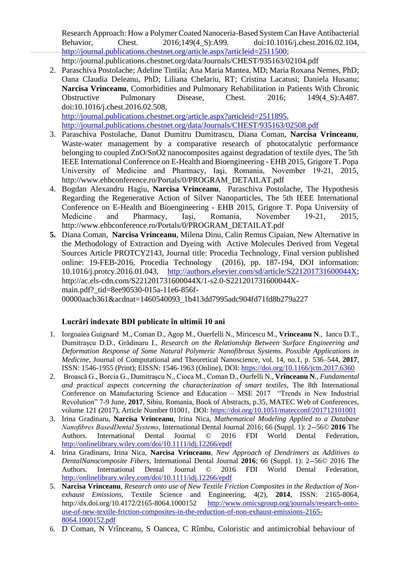Research Approach: How a Polymer Coated Nanoceria-Based System Can Have Antibacterial Behavior, Chest. 2016;149(4 S):A99. doi:10.1016/j.chest.2016.02.104, [http://journal.publications.chestnet.org/article.aspx?articleid=2511500;](http://journal.publications.chestnet.org/article.aspx?articleid=2511500) http://journal.publications.chestnet.org/data/Journals/CHEST/935163/02104.pdf

- 2. Paraschiva Postolache; Adeline Tintila; Ana Maria Mantea, MD; Maria Roxana Nemes, PhD; Oana Claudia Deleanu, PhD; Liliana Chelariu, RT; Cristina Lacatusi; Daniela Husanu; **Narcisa Vrinceanu**, Comorbidities and Pulmonary Rehabilitation in Patients With Chronic Obstructive Pulmonary Disease, Chest. 2016; 149(4\_S):A487. doi:10.1016/j.chest.2016.02.508, [http://journal.publications.chestnet.org/article.aspx?articleid=2511895,](http://journal.publications.chestnet.org/article.aspx?articleid=2511895) <http://journal.publications.chestnet.org/data/Journals/CHEST/935163/02508.pdf>
- 3. Paraschiva Postolache, Danut Dumitru Dumitrascu, Diana Coman, **Narcisa Vrinceanu**, Waste-water management by a comparative research of photocatalytic performance belonging to coupled ZnO/SnO2 nanocomposites against degradation of textile dyes, The 5th IEEE International Conference on E-Health and Bioengineering - EHB 2015, Grigore T. Popa University of Medicine and Pharmacy, Iaşi, Romania, November 19-21, 2015, http://www.ehbconference.ro/Portals/0/PROGRAM\_DETAILAT.pdf
- 4. Bogdan Alexandru Hagiu, **Narcisa Vrinceanu**, Paraschiva Postolache, The Hypothesis Regarding the Regenerative Action of Silver Nanoparticles, The 5th IEEE International Conference on E-Health and Bioengineering - EHB 2015, Grigore T. Popa University of Medicine and Pharmacy, Iaşi, Romania, November 19-21, 2015, http://www.ehbconference.ro/Portals/0/PROGRAM\_DETAILAT.pdf
- **5.** Diana Coman, **Narcisa Vrinceanu**, Milena Dinu, Calin Remus Cipaian, New Alternative in the Methodology of Extraction and Dyeing with Active Molecules Derived from Vegetal Sources Article PROTCY2143, Journal title: Procedia Technology, Final version published online: 19-FEB-2016, Procedia Technology (2016), pp. 187-194, DOI information: 10.1016/j.protcy.2016.01.043, [http://authors.elsevier.com/sd/article/S221201731600044X;](http://authors.elsevier.com/sd/article/S221201731600044X) http://ac.els-cdn.com/S221201731600044X/1-s2.0-S221201731600044Xmain.pdf? tid=8ee90530-015a-11e6-856f-

00000aacb361&acdnat=1460540093\_1b413dd7995adc904fd71fd8b279a227

#### **Lucrări indexate BDI publicate în ultimii 10 ani**

- 1. Iorgoaiea Guignard M., Coman D., Agop M., Ouerfelli N., Miricescu M., **Vrinceanu N**., Iancu D.T., Dumitrașcu D.D., Grădinaru I., *Research on the Relationship Between Surface Engineering and Deformation Response of Some Natural Polymeric Nanofibrous Systems. Possible Applications in Medicine*, Journal of Computational and Theoretical Nanoscience, vol. 14, no.1, p. 536–544, **2017**, ISSN: 1546-1955 (Print); EISSN: 1546-1963 (Online), DOI:<https://doi.org/10.1166/jctn.2017.6360>
- 2. Broască G., Borcia G., Dumitrașcu N., Cioca M., Coman D., Ourfelli N., **Vrînceanu N**., *Fundamental and practical aspects concerning the characterization of smart textiles*, The 8th International Conference on Manufacturing Science and Education – MSE 2017 "Trends in New Industrial Revolution" 7-9 June, **2017**, Sibiu, Romania, Book of Abstracts, p.35, MATEC Web of Conferences, volume 121 (2017), Article Number 01001, DOI:<https://doi.org/10.1051/matecconf/201712101001>
- 3. Irina Gradinaru, **Narcisa Vrinceanu**, Irina Nica, *Mathematical Modeling Applied to a Database Nanofibres BasedDental Systems*, International Dental Journal 2016; 66 (Suppl. 1): 2--56© **2016** The Authors. International Dental Journal © 2016 FDI World Dental Federation, <http://onlinelibrary.wiley.com/doi/10.1111/idj.12266/epdf>
- 4. Irina Gradinaru, Irina Nica, **Narcisa Vrinceanu**, *New Approach of Dendrimers as Additives to DentalNanocomposite Fibers*, International Dental Journal **2016**; 66 (Suppl. 1): 2--56© 2016 The Authors. International Dental Journal © 2016 FDI World Dental Federation, <http://onlinelibrary.wiley.com/doi/10.1111/idj.12266/epdf>
- 5. **Narcisa Vrinceanu**, *Research onto use of New Textile Friction Composites in the Reduction of Nonexhaust Emissions,* Textile Science and Engineering, 4(2), **2014**, ISSN: 2165-8064, [http://www.omicsgroup.org/journals/research-onto](http://www.omicsgroup.org/journals/research-onto-use-of-new-textile-friction-composites-in-the-reduction-of-non-exhaust-emissions-2165-8064.1000152.pdf)[use-of-new-textile-friction-composites-in-the-reduction-of-non-exhaust-emissions-2165-](http://www.omicsgroup.org/journals/research-onto-use-of-new-textile-friction-composites-in-the-reduction-of-non-exhaust-emissions-2165-8064.1000152.pdf) [8064.1000152.pdf](http://www.omicsgroup.org/journals/research-onto-use-of-new-textile-friction-composites-in-the-reduction-of-non-exhaust-emissions-2165-8064.1000152.pdf)
- 6. D Coman, N Vrînceanu, S Oancea, C Rîmbu, Coloristic and antimicrobial behaviour of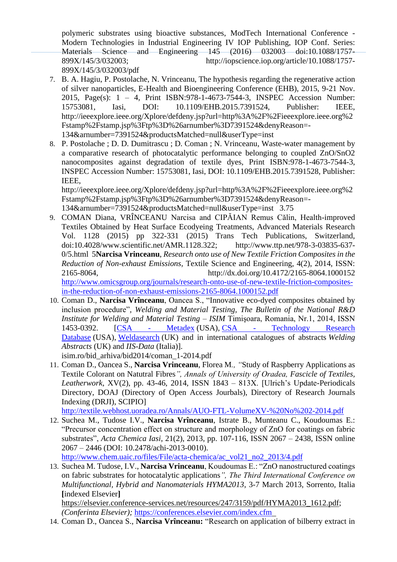polymeric substrates using bioactive substances, ModTech International Conference - Modern Technologies in Industrial Engineering IV IOP Publishing, IOP Conf. Series: Materials Science and Engineering 145 (2016) 032003 doi:10.1088/1757- 899X/145/3/032003; http://iopscience.iop.org/article/10.1088/1757- 899X/145/3/032003/pdf

- 7. B. A. Hagiu, P. Postolache, N. Vrinceanu, The hypothesis regarding the regenerative action of silver nanoparticles, E-Health and Bioengineering Conference (EHB), 2015, 9-21 Nov. 2015, Page(s): 1 – 4, Print ISBN:978-1-4673-7544-3, INSPEC Accession Number: 15753081, Iasi, DOI: 10.1109/EHB.2015.7391524, Publisher: IEEE, http://ieeexplore.ieee.org/Xplore/defdeny.jsp?url=http%3A%2F%2Fieeexplore.ieee.org%2 Fstamp%2Fstamp.jsp%3Ftp%3D%26arnumber%3D7391524&denyReason=- 134&arnumber=7391524&productsMatched=null&userType=inst
- 8. P. Postolache ; D. D. Dumitrascu ; D. Coman ; N. Vrinceanu, Waste-water management by a comparative research of photocatalytic performance belonging to coupled ZnO/SnO2 nanocomposites against degradation of textile dyes, Print ISBN:978-1-4673-7544-3, INSPEC Accession Number: 15753081, Iasi, DOI: 10.1109/EHB.2015.7391528, Publisher: IEEE,

http://ieeexplore.ieee.org/Xplore/defdeny.jsp?url=http%3A%2F%2Fieeexplore.ieee.org%2 Fstamp%2Fstamp.jsp%3Ftp%3D%26arnumber%3D7391524&denyReason=- 134&arnumber=7391524&productsMatched=null&userType=inst 3.75

- 9. COMAN Diana, VRÎNCEANU Narcisa and CIPĂIAN Remus Călin, Health-improved Textiles Obtained by Heat Surface Ecodyeing Treatments, Advanced Materials Research Vol. 1128 (2015) pp 322-331 (2015) Trans Tech Publications, Switzerland, doi:10.4028/www.scientific.net/AMR.1128.322; http://www.ttp.net/978-3-03835-637- 0/5.html 5**Narcisa Vrinceanu**, *Research onto use of New Textile Friction Composites in the Reduction of Non-exhaust Emissions,* Textile Science and Engineering, 4(2), 2014, ISSN: 2165-8064, http://dx.doi.org/10.4172/2165-8064.1000152 [http://www.omicsgroup.org/journals/research-onto-use-of-new-textile-friction-composites](http://www.omicsgroup.org/journals/research-onto-use-of-new-textile-friction-composites-in-the-reduction-of-non-exhaust-emissions-2165-8064.1000152.pdf)[in-the-reduction-of-non-exhaust-emissions-2165-8064.1000152.pdf](http://www.omicsgroup.org/journals/research-onto-use-of-new-textile-friction-composites-in-the-reduction-of-non-exhaust-emissions-2165-8064.1000152.pdf)
- 10. Coman D., **Narcisa Vrînceanu**, Oancea S., "Innovative eco-dyed composites obtained by inclusion procedure"*, Welding and Material Testing, The Bulletin of the National R&D Institute for Welding and Material Testing – ISIM* Timişoara, Romania, Nr.1, 2014, ISSN 1453-0392. [\[CSA -](http://www.csa.com/ids70/serials_source_list.php?db=materials-set-c) Metadex (USA), CSA - [Technology Research](http://www.csa.com/ids70/serials_source_list.php?db=techresearch-set-c)  [Database](http://www.csa.com/ids70/serials_source_list.php?db=techresearch-set-c) (USA), [Weldasearch](http://www.twi.co.uk/content/wsjournals.html) (UK) and in international catalogues of abstracts *Welding Abstracts* (UK) and *IIS-Data* (Italia)].

isim.ro/bid\_arhiva/bid2014/coman\_1-2014.pdf

11. Coman D., Oancea S., **Narcisa Vrinceanu**, Florea M*., "*Study of Raspberry Applications as Textile Colorant on Natutral Fibres*", Annals of University of Oradea, Fascicle of Textiles, Leatherwork*, XV(2), pp. 43-46, 2014, ISSN 1843 – 813X. [Ulrich's Update-Periodicals Directory, DOAJ (Directory of Open Access Jourbals), Directory of Research Journals Indexing (DRJI), SCIPIO]

<http://textile.webhost.uoradea.ro/Annals/AUO-FTL-VolumeXV-%20No%202-2014.pdf>

12. Suchea M., Tudose I.V., **Narcisa Vrînceanu**, Istrate B., Munteanu C., Koudoumas E.: "Precursor concentration effect on structure and morphology of ZnO for coatings on fabric substrates", *Acta Chemica Iasi*, 21(2), 2013, pp. 107-116, ISSN 2067 – 2438, ISSN online 2067 – 2446 (DOI: 10.2478/achi-2013-0010).

[http://www.chem.uaic.ro/files/File/acta-chemica/ac\\_vol21\\_no2\\_2013/4.pdf](http://www.chem.uaic.ro/files/File/acta-chemica/ac_vol21_no2_2013/4.pdf)

13. Suchea M. Tudose, I.V., **Narcisa Vrinceanu**, Koudoumas E.: "ZnO nanostructured coatings on fabric substrates for hotocatalytic applications*", The Third International Conference on Multifunctional, Hybrid and Nanomaterials HYMA2013*, 3-7 March 2013, Sorrento, Italia **[**indexed Elsevier**]**

https://elsevier.conference-services.net/resources/247/3159/pdf/HYMA2013\_1612.pdf; *(Conferinta Elsevier);* <https://conferences.elsevier.com/index.cfm>

14. Coman D., Oancea S., **Narcisa Vrînceanu:** "Research on application of bilberry extract in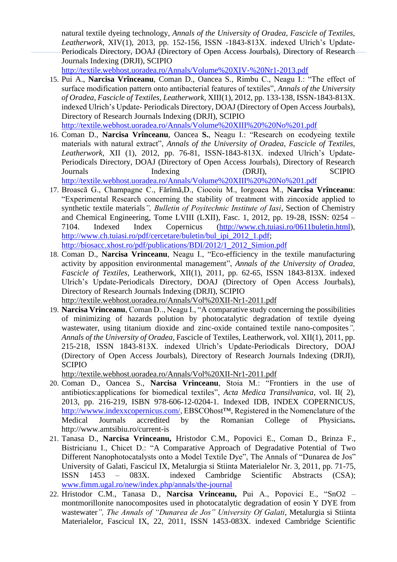natural textile dyeing technology, *Annals of the University of Oradea, Fascicle of Textiles, Leatherwork*, XIV(1), 2013, pp. 152-156, ISSN -1843-813X. indexed Ulrich's Update-Periodicals Directory, DOAJ (Directory of Open Access Jourbals), Directory of Research Journals Indexing (DRJI), SCIPIO

<http://textile.webhost.uoradea.ro/Annals/Volume%20XIV-%20Nr1-2013.pdf>

15. Pui A., **Narcisa Vrînceanu**, Coman D., Oancea S., Rimbu C., Neagu I.: "The effect of surface modification pattern onto antibacterial features of textiles", *Annals of the University of Oradea, Fascicle of Textiles, Leatherwork*, XIII(1), 2012, pp. 133-138, ISSN-1843-813X. indexed Ulrich's Update- Periodicals Directory, DOAJ (Directory of Open Access Jourbals), Directory of Research Journals Indexing (DRJI), SCIPIO

<http://textile.webhost.uoradea.ro/Annals/Volume%20XIII%20%20No%201.pdf>

- 16. Coman D., **Narcisa Vrînceanu**, Oancea **S.**, Neagu I.: "Research on ecodyeing textile materials with natural extract", *Annals of the University of Oradea*, *Fascicle of Textiles, Leatherwork,* XII (1), 2012, pp. 76-81, ISSN-1843-813X. indexed Ulrich's Update-Periodicals Directory, DOAJ (Directory of Open Access Jourbals), Directory of Research Journals Indexing (DRJI), SCIPIO <http://textile.webhost.uoradea.ro/Annals/Volume%20XIII%20%20No%201.pdf>
- 17. Broască G., Champagne C., Fărîmă,D., Ciocoiu M., Iorgoaea M., **Narcisa Vrînceanu**: "Experimental Research concerning the stability of treatment with zincoxide applied to synthetic textile materials*", Bulletin of Poyitechnic Institute of Iasi*, Section of Chemistry and Chemical Engineering, Tome LVIII (LXII), Fasc. 1, 2012, pp. 19-28, ISSN: 0254 – 7104. Indexed [Index Copernicus](http://journals.indexcopernicus.com/BULETINUL+INSTITUTULUI+POLITEHNIC+DIN+IASI+CHIMIE+SI+INGINERIE+CHIMICA,p3589,3.html) [\(http://www.ch.tuiasi.ro/0611buletin.html\)](http://www.ch.tuiasi.ro/0611buletin.html), [http://www.ch.tuiasi.ro/pdf/cercetare/buletin/bul\\_ipi\\_2012\\_1.pdf;](http://www.ch.tuiasi.ro/pdf/cercetare/buletin/bul_ipi_2012_1.pdf) [http://biosacc.xhost.ro/pdf/publications/BDI/2012/1\\_2012\\_Simion.pdf](http://biosacc.xhost.ro/pdf/publications/BDI/2012/1_2012_Simion.pdf)
- 18. Coman D., **Narcisa Vrinceanu**, Neagu I., "Eco-efficiency in the textile manufacturing activity by apposition environmental management", *Annals of the University of Oradea, Fascicle of Textiles*, Leatherwork, XII(1), 2011, pp. 62-65, ISSN 1843-813X. indexed Ulrich's Update-Periodicals Directory, DOAJ (Directory of Open Access Jourbals), Directory of Research Journals Indexing (DRJI), SCIPIO

<http://textile.webhost.uoradea.ro/Annals/Vol%20XII-Nr1-2011.pdf>

19. **Narcisa Vrinceanu**, Coman D.., Neagu I., "A comparative study concerning the possibilities of minimizing of hazards polution by photocatalytic degradation of textile dyeing wastewater, using titanium dioxide and zinc-oxide contained textile nano-composites*", Annals of the University of Oradea*, Fascicle of Textiles, Leatherwork, vol. XII(1), 2011, pp. 215-218, ISSN 1843-813X. indexed Ulrich's Update-Periodicals Directory, DOAJ (Directory of Open Access Jourbals), Directory of Research Journals Indexing (DRJI), SCIPIO

<http://textile.webhost.uoradea.ro/Annals/Vol%20XII-Nr1-2011.pdf>

- 20. Coman D., Oancea S., **Narcisa Vrinceanu**, Stoia M.: "Frontiers in the use of antibiotics:applications for biomedical textiles", *Acta Medica Transilvanica*, vol. II( 2), 2013, pp. 216-219, ISBN 978-606-12-0204-1. Indexed IDB, INDEX COPERNICUS, [http://wwww.indexxcopernicus.com/,](http://wwww.indexxcopernicus.com/) EBSCOhost™, Registered in the Nomenclature of the Medical Journals accredited by the Romanian College of Physicians**.**  http://www.amtsibiu.ro/current-is
- 21. Tanasa D., **Narcisa Vrinceanu,** Hristodor C.M., Popovici E., Coman D., Brinza F., Bistricianu I., Chicet D.: "A Comparative Approach of Degradative Potential of Two Different Nanophotocatalysts onto a Model Textile Dye", The Annals of "Dunarea de Jos" University of Galati, Fascicul IX, Metalurgia si Stiinta Materialelor Nr. 3, 2011, pp. 71-75, ISSN 1453 – 083X. indexed Cambridge Scientific Abstracts (CSA); [www.fimm.ugal.ro/new/index.php/annals/the-journal](http://www.fimm.ugal.ro/new/index.php/annals/the-journal)
- 22. Hristodor C.M., Tanasa D., **Narcisa Vrinceanu,** Pui A., Popovici E., "SnO2 montmorillonite nanocomposites used in photocatalytic degradation of eosin Y DYE from wastewater*", The Annals of "Dunarea de Jos" University Of Galati*, Metalurgia si Stiinta Materialelor, Fascicul IX, 22, 2011, ISSN 1453-083X. indexed Cambridge Scientific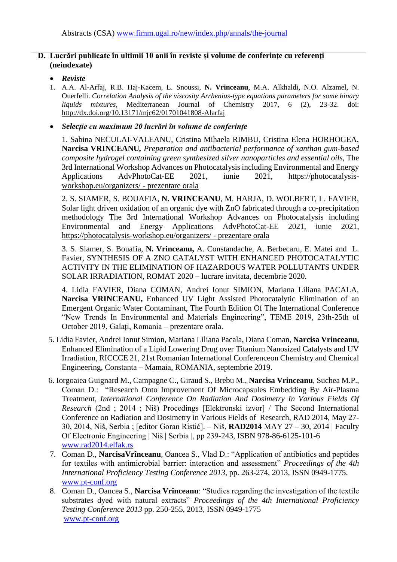#### **D. Lucrări publicate în ultimii 10 anii în reviste și volume de conferințe cu referenți (neindexate)**

#### • *Reviste*

1. A.A. Al-Arfaj, R.B. Haj-Kacem, L. Snoussi, **N. Vrinceanu**, M.A. Alkhaldi, N.O. Alzamel, N. Ouerfelli. *Correlation Analysis of the viscosity Arrhenius-type equations parameters for some binary liquids mixtures,* Mediterranean Journal of Chemistry 2017, 6 (2), 23-32. doi: <http://dx.doi.org/10.13171/mjc62/01701041808-Alarfaj>

#### • *Selecție cu maximum 20 lucrări în volume de conferințe*

1. Sabina NECULAI-VALEANU, Cristina Mihaela RIMBU, Cristina Elena HORHOGEA, **Narcisa VRINCEANU***, Preparation and antibacterial performance of xanthan gum-based composite hydrogel containing green synthesized silver nanoparticles and essential oils,* The 3rd International Workshop Advances on Photocatalysis including Environmental and Energy Applications AdvPhotoCat-EE 2021, iunie 2021, [https://photocatalysis](https://photocatalysis-workshop.eu/organizers/)[workshop.eu/organizers/](https://photocatalysis-workshop.eu/organizers/) - prezentare orala

2. S. SIAMER, S. BOUAFIA, **N. VRINCEANU**, M. HARJA, D. WOLBERT, L. FAVIER, Solar light driven oxidation of an organic dye with ZnO fabricated through a co-precipitation methodology The 3rd International Workshop Advances on Photocatalysis including Environmental and Energy Applications AdvPhotoCat-EE 2021, iunie 2021, <https://photocatalysis-workshop.eu/organizers/> - prezentare orala

3. S. Siamer, S. Bouafia, **N. Vrinceanu,** A. Constandache, A. Berbecaru, E. Matei and L. Favier, SYNTHESIS OF A ZNO CATALYST WITH ENHANCED PHOTOCATALYTIC ACTIVITY IN THE ELIMINATION OF HAZARDOUS WATER POLLUTANTS UNDER SOLAR IRRADIATION, ROMAT 2020 – lucrare invitata, decembrie 2020.

4. Lidia FAVIER, Diana COMAN, Andrei Ionut SIMION, Mariana Liliana PACALA, **Narcisa VRINCEANU,** Enhanced UV Light Assisted Photocatalytic Elimination of an Emergent Organic Water Contaminant, The Fourth Edition Of The International Conference "New Trends In Environmental and Materials Engineering", TEME 2019, 23th-25th of October 2019, Galați, Romania – prezentare orala.

- 5. Lidia Favier, Andrei Ionut Simion, Mariana Liliana Pacala, Diana Coman, **Narcisa Vrinceanu**, Enhanced Elimination of a Lipid Lowering Drug over Titanium Nanosized Catalysts and UV Irradiation, RICCCE 21, 21st Romanian International Conferenceon Chemistry and Chemical Engineering, Constanta – Mamaia, ROMANIA, septembrie 2019.
- 6. Iorgoaiea Guignard M., Campagne C., Giraud S., Brebu M., **Narcisa Vrinceanu**, Suchea M.P., Coman D.: "Research Onto Improvement Of Microcapsules Embedding By Air-Plasma Treatment, *International Conference On Radiation And Dosimetry In Various Fields Of Research* (2nd ; 2014 ; Niš) Procedings [Elektronski izvor] / The Second International Conference on Radiation and Dosimetry in Various Fields of Research, RAD 2014, May 27- 30, 2014, Niš, Serbia ; [editor Goran Ristić]. – Niš, **RAD2014** MAY 27 – 30, 2014 | Faculty Of Electronic Engineering | Niš | Serbia |, pp 239-243, ISBN 978-86-6125-101-6 [www.rad2014.elfak.rs](http://www.rad2014.elfak.rs/)
- 7. Coman D., **NarcisaVrînceanu**, Oancea S., Vlad D.: "Application of antibiotics and peptides for textiles with antimicrobial barrier: interaction and assessment" *Proceedings of the 4th International Proficiency Testing Conference 2013*, pp. 263-274, 2013, ISSN 0949-1775. [www.pt-conf.org](http://www.pt-conf.org/)
- 8. Coman D., Oancea S., **Narcisa Vrînceanu**: "Studies regarding the investigation of the textile substrates dyed with natural extracts" *Proceedings of the 4th International Proficiency Testing Conference 2013* pp. 250-255, 2013, ISSN 0949-1775 [www.pt-conf.org](http://www.pt-conf.org/)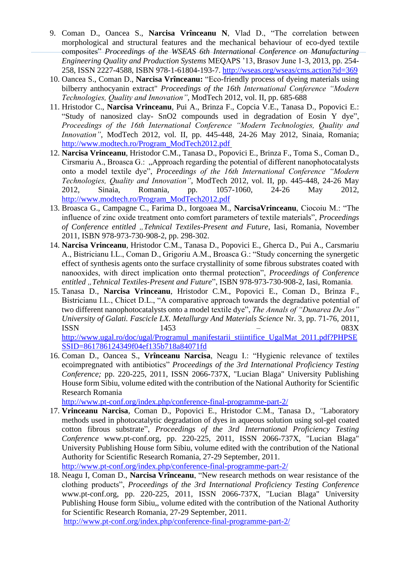- 9. Coman D., Oancea S., **Narcisa Vrînceanu N**, Vlad D., "The correlation between morphological and structural features and the mechanical behaviour of eco-dyed textile composites" *Proceedings of the WSEAS 6th International Conference on Manufacturing Engineering Quality and Production Systems* MEQAPS '13, Brasov June 1-3, 2013, pp. 254- 258, ISSN 2227-4588, ISBN 978-1-61804-193-7.<http://wseas.org/wseas/cms.action?id=369>
- 10. Oancea S., Coman D., **Narcisa Vrînceanu:** "Eco-friendly process of dyeing materials using bilberry anthocyanin extract" *Proceedings of the 16th International Conference "Modern Technologies, Quality and Innovation"*, ModTech 2012, vol. II, pp. 685-688
- 11. Hristodor C., **Narcisa Vrinceanu**, Pui A., Brinza F., Copcia V.E., Tanasa D., Popovici E.: "Study of nanosized clay- SnO2 compounds used in degradation of Eosin Y dye", *Proceedings of the 16th International Conference "Modern Technologies, Quality and Innovation"*, ModTech 2012, vol. II, pp. 445-448, 24-26 May 2012, Sinaia, Romania; [http://www.modtech.ro/Program\\_ModTech2012.pdf](http://www.modtech.ro/Program_ModTech2012.pdf)
- 12. **Narcisa Vrinceanu**, Hristodor C.M., Tanasa D., Popovici E., Brinza F., Toma S., Coman D., Cirsmariu A., Broasca G.: "Approach regarding the potential of different nanophotocatalysts onto a model textile dye", *Proceedings of the 16th International Conference "Modern Technologies, Quality and Innovation"*, ModTech 2012, vol. II, pp. 445-448, 24-26 May 2012, Sinaia, Romania, pp. 1057-1060, 24-26 May 2012, [http://www.modtech.ro/Program\\_ModTech2012.pdf](http://www.modtech.ro/Program_ModTech2012.pdf)
- 13. Broasca G., Campagne C., Farima D., Iorgoaea M., **NarcisaVrinceanu**, Ciocoiu M.: "The influence of zinc oxide treatment onto comfort parameters of textile materials", *Proceedings of Conference entitled "Tehnical Textiles-Present and Future*, Iasi, Romania, November 2011, ISBN 978-973-730-908-2, pp. 298-302.
- 14. **Narcisa Vrinceanu**, Hristodor C.M., Tanasa D., Popovici E., Gherca D., Pui A., Carsmariu A., Bistricianu I.L., Coman D., Grigoriu A.M., Broasca G.: "Study concerning the synergetic effect of synthesis agents onto the surface crystallinity of some fibrous substrates coated with nanooxides, with direct implication onto thermal protection", *Proceedings of Conference*  entitled "Tehnical Textiles-Present and Future", ISBN 978-973-730-908-2, Iasi, Romania.
- 15. Tanasa D., **Narcisa Vrinceanu**, Hristodor C.M., Popovici E., Coman D., Brinza F., Bistricianu I.L., Chicet D.L., "A comparative approach towards the degradative potential of two different nanophotocatalysts onto a model textile dye", *The Annals of "Dunarea De Jos" University of Galati. Fascicle LX. Metallurgy And Materials Science* Nr. 3, pp. 71-76, 2011,  $1453$  – 083X [http://www.ugal.ro/doc/ugal/Programul\\_manifestarii\\_stiintifice\\_UgalMat\\_2011.pdf?PHPSE](http://www.ugal.ro/doc/ugal/Programul_manifestarii_stiintifice_UgalMat_2011.pdf?PHPSESSID=861786124349f04ef135b718a84071fd)

[SSID=861786124349f04ef135b718a84071fd](http://www.ugal.ro/doc/ugal/Programul_manifestarii_stiintifice_UgalMat_2011.pdf?PHPSESSID=861786124349f04ef135b718a84071fd)

16. Coman D., Oancea S., **Vrînceanu Narcisa**, Neagu I.: "Hygienic relevance of textiles ecoimpregnated with antibiotics" *Proceedings of the 3rd International Proficiency Testing Conference;* pp. 220-225, 2011, ISSN 2066-737X, "Lucian Blaga" University Publishing House form Sibiu, volume edited with the contribution of the National Authority for Scientific Research Romania

<http://www.pt-conf.org/index.php/conference-final-programme-part-2/>

17. **Vrinceanu Narcisa**, Coman D., Popovici E., Hristodor C.M., Tanasa D., *"*Laboratory methods used in photocatalytic degradation of dyes in aqueous solution using sol-gel coated cotton fibrous substrate", *Proceedings of the 3rd International Proficiency Testing Conference* www.pt-conf.org, pp. 220-225, 2011, ISSN 2066-737X, "Lucian Blaga" University Publishing House form Sibiu, volume edited with the contribution of the National Authority for Scientific Research Romania, 27-29 September, 2011.

<http://www.pt-conf.org/index.php/conference-final-programme-part-2/>

18. Neagu I, Coman D., **Narcisa Vrînceanu**, "New research methods on wear resistance of the clothing products", *Proceedings of the 3rd International Proficiency Testing Conference*  www.pt-conf.org, pp. 220-225, 2011, ISSN 2066-737X, "Lucian Blaga" University Publishing House form Sibiu,, volume edited with the contribution of the National Authority for Scientific Research Romania, 27-29 September, 2011. <http://www.pt-conf.org/index.php/conference-final-programme-part-2/>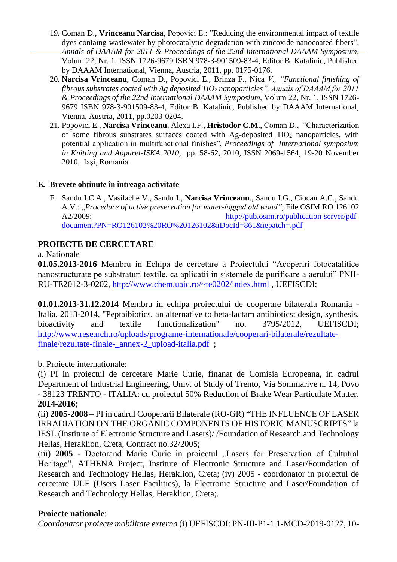- 19. Coman D., **Vrinceanu Narcisa**, Popovici E.: "Reducing the environmental impact of textile dyes containg wastewater by photocatalytic degradation with zincoxide nanocoated fibers", *Annals of DAAAM for 2011 & Proceedings of the 22nd International DAAAM Symposium*, Volum 22, Nr. 1, ISSN 1726-9679 ISBN 978-3-901509-83-4, Editor B. Katalinic, Published by DAAAM International, Vienna, Austria, 2011, pp. 0175-0176.
- 20. **Narcisa Vrinceanu**, Coman D., Popovici E., Brinza F., Nica *V., "Functional finishing of fibrous substrates coated with Ag deposited TiO<sup>2</sup> nanoparticles", Annals of DAAAM for 2011 & Proceedings of the 22nd International DAAAM Symposium*, Volum 22, Nr. 1, ISSN 1726- 9679 ISBN 978-3-901509-83-4, Editor B. Katalinic, Published by DAAAM International, Vienna, Austria, 2011, pp.0203-0204.
- 21. Popovici E., **Narcisa Vrinceanu**, Alexa I.F., **Hristodor C.M.,** Coman D., "Characterization of some fibrous substrates surfaces coated with Ag-deposited  $TiO<sub>2</sub>$  nanoparticles, with potential application in multifunctional finishes", *Proceedings of International symposium in Knitting and Apparel-ISKA 2010*, pp. 58-62, 2010, ISSN 2069-1564, 19-20 November 2010, Iaşi, Romania.

## **E. Brevete obținute în întreaga activitate**

F. Sandu I.C.A., Vasilache V., Sandu I., **Narcisa Vrînceanu**., Sandu I.G., Ciocan A.C., Sandu A.V.: "*Procedure of active preservation for water-logged old wood",* File OSIM RO 126102 A2/2009; [http://pub.osim.ro/publication-server/pdf](http://pub.osim.ro/publication-server/pdf-document?PN=RO126102%20RO%20126102&iDocId=861&iepatch=.pdf)[document?PN=RO126102%20RO%20126102&iDocId=861&iepatch=.pdf](http://pub.osim.ro/publication-server/pdf-document?PN=RO126102%20RO%20126102&iDocId=861&iepatch=.pdf)

# **PROIECTE DE CERCETARE**

## a. Nationale

**01.05.2013-2016** Membru in Echipa de cercetare a Proiectului "Acoperiri fotocatalitice nanostructurate pe substraturi textile, ca aplicatii in sistemele de purificare a aerului" PNII-RU-TE2012-3-0202,<http://www.chem.uaic.ro/~te0202/index.html> , UEFISCDI;

**01.01.2013-31.12.2014** Membru in echipa proiectului de cooperare bilaterala Romania - Italia, 2013-2014, "Peptaibiotics, an alternative to beta-lactam antibiotics: design, synthesis, bioactivity and textile functionalization" no. 3795/2012, UEFISCDI; [http://www.research.ro/uploads/programe-internationale/cooperari-bilaterale/rezultate](http://www.research.ro/uploads/programe-internationale/cooperari-bilaterale/rezultate-finale/rezultate-finale-_annex-2_upload-italia.pdf)[finale/rezultate-finale-\\_annex-2\\_upload-italia.pdf](http://www.research.ro/uploads/programe-internationale/cooperari-bilaterale/rezultate-finale/rezultate-finale-_annex-2_upload-italia.pdf) ;

# b. Proiecte internationale:

(i) PI in proiectul de cercetare Marie Curie, finanat de Comisia Europeana, in cadrul Department of Industrial Engineering, Univ. of Study of Trento, Via Sommarive n. 14, Povo - 38123 TRENTO - ITALIA: cu proiectul 50% Reduction of Brake Wear Particulate Matter, **2014-2016**;

(ii) **2005-2008** – PI in cadrul Cooperarii Bilaterale (RO-GR) "THE INFLUENCE OF LASER IRRADIATION ON THE ORGANIC COMPONENTS OF HISTORIC MANUSCRIPTS" la IESL (Institute of Electronic Structure and Lasers)/ /Foundation of Research and Technology Hellas, Heraklion, Creta, Contract no.32/2005;

(iii) **2005** - Doctorand Marie Curie in proiectul "Lasers for Preservation of Cultutral Heritage", ATHENA Project, Institute of Electronic Structure and Laser/Foundation of Research and Technology Hellas, Heraklion, Creta; (iv) 2005 - coordonator in proiectul de cercetare ULF (Users Laser Facilities), la Electronic Structure and Laser/Foundation of Research and Technology Hellas, Heraklion, Creta;.

## **Proiecte nationale**:

*Coordonator proiecte mobilitate externa* (i) UEFISCDI: PN-III-P1-1.1-MCD-2019-0127, 10-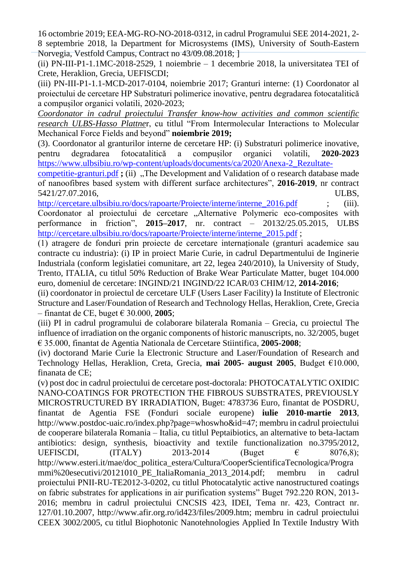16 octombrie 2019; EEA-MG-RO-NO-2018-0312, in cadrul Programului SEE 2014-2021, 2- 8 septembrie 2018, la Department for Microsystems (IMS), University of South-Eastern Norvegia, Vestfold Campus, Contract no 43/09.08.2018; ]

(ii) PN-III-P1-1.1MC-2018-2529, 1 noiembrie – 1 decembrie 2018, la universitatea TEI of Crete, Heraklion, Grecia, UEFISCDI;

(iii) PN-III-P1-1.1-MCD-2017-0104, noiembrie 2017; Granturi interne: (1) Coordonator al proiectului de cercetare HP Substraturi polimerice inovative, pentru degradarea fotocatalitică a compușilor organici volatili, 2020-2023;

*Coordonator in cadrul proiectului Transfer know-how activities and common scientific research ULBS-Hasso Plattne*r, cu titlul "From Intermolecular Interactions to Molecular Mechanical Force Fields and beyond" **noiembrie 2019;**

(3). Coordonator al granturilor interne de cercetare HP: (i) Substraturi polimerice inovative, pentru degradarea fotocatalitică a compușilor organici volatili, **2020-2023** [https://www.ulbsibiu.ro/wp-content/uploads/documents/ca/2020/Anexa-2\\_Rezultate-](https://www.ulbsibiu.ro/wp-content/uploads/documents/ca/2020/Anexa-2_Rezultate-competitie-granturi.pdf)

[competitie-granturi.pdf](https://www.ulbsibiu.ro/wp-content/uploads/documents/ca/2020/Anexa-2_Rezultate-competitie-granturi.pdf) **;** (ii) .The Development and Validation of o research database made of nanoofibres based system with different surface architectures", **2016-2019**, nr contract 5421/27.07.2016, ULBS,

[http://cercetare.ulbsibiu.ro/docs/rapoarte/Proiecte/interne/interne\\_2016.pdf](http://cercetare.ulbsibiu.ro/docs/rapoarte/Proiecte/interne/interne_2016.pdf) ; (iii). Coordonator al proiectului de cercetare "Alternative Polymeric eco-composites with performance in friction", **2015–2017**, nr. contract – 20132/25.05.2015, ULBS [http://cercetare.ulbsibiu.ro/docs/rapoarte/Proiecte/interne/interne\\_2015.pdf](http://cercetare.ulbsibiu.ro/docs/rapoarte/Proiecte/interne/interne_2015.pdf);

(1) atragere de fonduri prin proiecte de cercetare internaționale (granturi academice sau contracte cu industria): (i) IP in proiect Marie Curie, in cadrul Departmentului de Inginerie Industriala (conform legislatiei comunitare, art 22, legea 240/2010), la University of Study, Trento, ITALIA, cu titlul 50% Reduction of Brake Wear Particulate Matter, buget 104.000 euro, domeniul de cercetare: INGIND/21 INGIND/22 ICAR/03 CHIM/12, **2014-2016**;

(ii) coordonator in proiectul de cercetare ULF (Users Laser Facility) la Institute of Electronic Structure and Laser/Foundation of Research and Technology Hellas, Heraklion, Crete, Grecia – finantat de CE, buget € 30.000, **2005**;

(iii) PI in cadrul programului de colaborare bilaterala Romania – Grecia, cu proiectul The influence of irradiation on the organic components of historic manuscripts, no. 32/2005, buget € 35.000, finantat de Agentia Nationala de Cercetare Stiintifica, **2005-2008**;

(iv) doctorand Marie Curie la Electronic Structure and Laser/Foundation of Research and Technology Hellas, Heraklion, Creta, Grecia, **mai 2005- august 2005**, Budget €10.000, finanata de CE;

(v) post doc in cadrul proiectului de cercetare post-doctorala: PHOTOCATALYTIC OXIDIC NANO-COATINGS FOR PROTECTION THE FIBROUS SUBSTRATES, PREVIOUSLY MICROSTRUCTURED BY IRRADIATION, Buget: 4783736 Euro, finantat de POSDRU, finantat de Agentia FSE (Fonduri sociale europene) **iulie 2010-martie 2013**, http://www.postdoc-uaic.ro/index.php?page=whoswho&id=47; membru in cadrul proiectului de cooperare bilaterala Romania – Italia, cu titlul Peptaibiotics, an alternative to beta-lactam antibiotics: design, synthesis, bioactivity and textile functionalization no.3795/2012, UEFISCDI,  $(ITALY)$  2013-2014 (Buget  $\epsilon$  8076.8); http://www.esteri.it/mae/doc\_politica\_estera/Cultura/CooperScientificaTecnologica/Progra mmi%20esecutivi/20121010 PE ItaliaRomania 2013 2014.pdf; membru in cadrul proiectului PNII-RU-TE2012-3-0202, cu titlul Photocatalytic active nanostructured coatings on fabric substrates for applications in air purification systems" Buget 792.220 RON, 2013- 2016; membru in cadrul proiectului CNCSIS 423, IDEI, Tema nr. 423, Contract nr. 127/01.10.2007, http://www.afir.org.ro/id423/files/2009.htm; membru in cadrul proiectului CEEX 3002/2005, cu titlul Biophotonic Nanotehnologies Applied In Textile Industry With